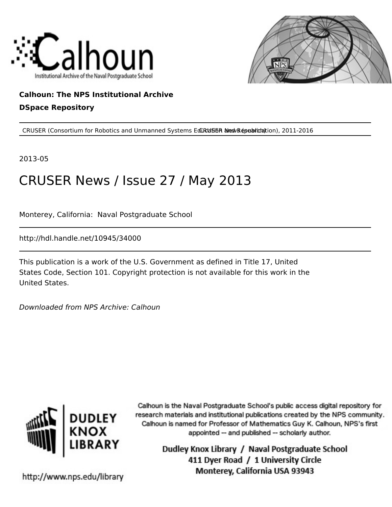



# **Calhoun: The NPS Institutional Archive DSpace Repository**

CRUSER (Consortium for Robotics and Unmanned Systems EduRd56R alreal Research), 2011-2016

2013-05

# CRUSER News / Issue 27 / May 2013

Monterey, California: Naval Postgraduate School

http://hdl.handle.net/10945/34000

This publication is a work of the U.S. Government as defined in Title 17, United States Code, Section 101. Copyright protection is not available for this work in the United States.

Downloaded from NPS Archive: Calhoun



Calhoun is the Naval Postgraduate School's public access digital repository for research materials and institutional publications created by the NPS community. Calhoun is named for Professor of Mathematics Guy K. Calhoun, NPS's first appointed -- and published -- scholarly author.

> Dudley Knox Library / Naval Postgraduate School 411 Dyer Road / 1 University Circle Monterey, California USA 93943

http://www.nps.edu/library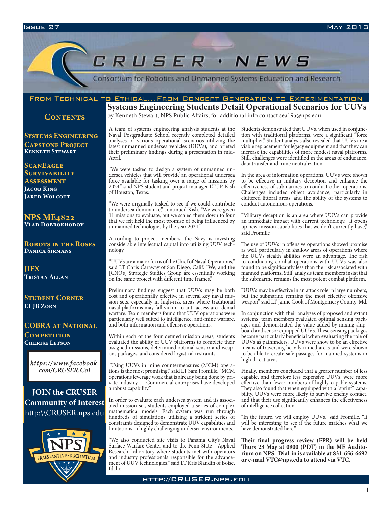# CRUSER · NEWS

Consortium for Robotics and Unmanned Systems Education and Research

# From Technical to Ethical...From Concept Generation to Experimentation

**CONTENTS** 

**Systems Engineering Capstone Project Kenneth Stewart**

**ScanEagle Survivability Assessment Jacob King JARED WOLCOTT** 

**NPS ME4822 Vlad Dobrokhodov**

**Robots in the Roses Danica Sirmans**

**JIFX Tristan Allan**

**Student Corner LT JB Zorn**

**COBRA at National Competition Cherise Letson**

*https://www.facebook. com/CRUSER.CoI*

**JOIN the CRUSER Community of Interest** http:\\CRUSER.nps.edu



**Systems Engineering Students Detail Operational Scenarios for UUVs**

by Kenneth Stewart, NPS Public Affairs, for additional info contact sea19a@nps.edu

A team of systems engineering analysis students at the Naval Postgraduate School recently completed detailed analyses of various operational scenarios utilizing the latest unmanned undersea vehicles (UUVs), and briefed their preliminary findings during a presentation in mid-April.

"We were tasked to design a system of unmanned undersea vehicles that will provide an operational undersea force available for tasking over a range of missions by 2024," said NPS student and project manager LT J.P. Kish of Houston, Texas.

"We were originally tasked to see if we could contribute to undersea dominance," continued Kish. "We were given 11 missions to evaluate, but we scaled them down to four that we felt held the most promise of being influenced by unmanned technologies by the year 2024."

According to project members, the Navy is investing considerable intellectual capital into utilizing UUV technology.

"UUVs are a major focus of the Chief of Naval Operations," said LT Chris Caraway of San Diego, Calif. "We, and the [CNO's] Strategic Studies Group are essentially working on the same project with different time frames."

Preliminary findings suggest that UUVs may be both cost and operationally effective in several key naval mission sets, especially in high-risk areas where traditional naval platforms may fall victim to anti-access area denial warfare. Team members found that UUV operations were particularly well suited to intelligence, anti-mine warfare, and both information and offensive operations.

Within each of the four defined mission areas, students evaluated the ability of UUV platforms to complete their assigned missions, determined optimal sensor and weapons packages, and considered logistical restraints.

"Using UUVs in mine countermeasures (MCM) operations is the most promising," said LT Sam Fromille. "MCM operations leverage work that is already being done by private industry … Commercial enterprises have developed a robust capability."

In order to evaluate each undersea system and its associated mission set, students employed a series of complex mathematical models. Each system was run through hundreds of simulations utilizing a strident series of constraints designed to demonstrate UUV capabilities and limitations in highly challenging undersea environments.

"We also conducted site visits to Panama City's Naval Surface Warfare Center and to the Penn State Applied Research Laboratory where students met with operators and industry professionals responsible for the advancement of UUV technologies," said LT Kris Blandin of Boise, Idaho.

Students demonstrated that UUVs, when used in conjunction with traditional platforms, were a significant "force multiplier." Student analysis also revealed that UUVs are a viable replacement for legacy equipment and that they can increase the capabilities of more modest naval platforms. Still, challenges were identified in the areas of endurance, data transfer and mine neutralization.

In the area of information operations, UUVs were shown to be effective in military deception and enhance the effectiveness of submarines to conduct other operations. Challenges included object avoidance, particularly in cluttered littoral areas, and the ability of the systems to conduct autonomous operations.

"Military deception is an area where UUVs can provide an immediate impact with current technology. It opens up new mission capabilities that we don't currently have," said Fromille

The use of UUVs in offensive operations showed promise as well, particularly in shallow areas of operations where the UUVs stealth abilities were an advantage. The risk to conducting combat operations with UUVs was also found to be significantly less than the risk associated with manned platforms. Still, analysis team members insist that the submarine remains the most potent combat platform.

"UUVs may be effective in an attack role in large numbers, but the submarine remains the most effective offensive weapon" said LT Jamie Cook of Montgomery County, Md.

In conjunction with their analyses of proposed and extant systems, team members evaluated optimal sensing packages and demonstrated the value added by mixing shipboard and sensor equipped UUVs. These sensing packages became particularly beneficial when evaluating the role of UUVs as pathfinders. UUVs were show to be an effective means of traversing heavily mined areas and were shown to be able to create safe passages for manned systems in high threat areas.

Finally, members concluded that a greater number of less capable, and therefore less expensive UUVs, were more effective than fewer numbers of highly capable systems. They also found that when equipped with a "sprint" capability, UUVs were more likely to survive enemy contact, and that their use significantly enhances the effectiveness of intelligence collection.

"In the future, we will employ UUVs," said Fromille. "It will be interesting to see if the future matches what we have demonstrated here."

**Their final progress review (FPR) will be held Thurs 23 May at 0900 (PDT) in the ME Auditorium on NPS. Dial-in is available at 831-656-6692 or e-mail VTC@nps.edu to attend via VTC.**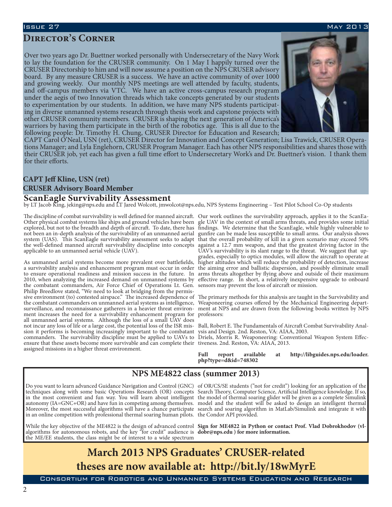## Issue 27 May 2013

# **Director's Corner**

Over two years ago Dr. Buettner worked personally with Undersecretary of the Navy Work to lay the foundation for the CRUSER community. On 1 May I happily turned over the CRUSER Directorship to him and will now assume a position on the NPS CRUSER advisory board. By any measure CRUSER is a success. We have an active community of over 1000 and growing weekly. Our monthly NPS meetings are well attended by faculty, students, and off-campus members via VTC. We have an active cross-campus research program under the aegis of two Innovation threads which take concepts generated by our students to experimentation by our students. In addition, we have many NPS students participat- ing in diverse unmanned systems research through thesis work and capstone projects with other CRUSER community members. CRUSER is shaping the next generation of America's warriors by having them participate in the birth of the robotics age. This is all due to the



following people: Dr. Timothy H. Chung, CRUSER Director for Education and Research; tions Manager; and Lyla Englehorn, CRUSER Program Manager. Each has other NPS responsibilities and shares those with their CRUSER job, yet each has given a full time effort to Undersecretary Work's and Dr. Buettner's vision. I thank them for their efforts.

# **CAPT Jeff Kline, USN (ret)**

## **CRUSER Advisory Board Member**

### **ScanEagle Survivability Assessment**

by LT Jacob King, jeking@nps.edu and LT Jared Wolcott, jmwolcot@nps.edu, NPS Systems Engineering – Test Pilot School Co-Op students

The discipline of combat survivability is well defined for manned aircraft. Other physical combat systems like ships and ground vehicles have been not been an in-depth analysis of the survivability of an unmanned aerial system (UAS). This ScanEagle survivability assessment seeks to adapt the well-defined manned aircraft survivability discipline into concepts applicable to an unmanned aerial vehicle (UAV).

As unmanned aerial systems become more prevalent over battlefields, a survivability analysis and enhancement program must occur in order to ensure operational readiness and mission success in the future. In the combatant commanders, Air Force Chief of Operations Lt. Gen. Philip Breedlove stated, "We need to look at bridging from the permissive environment (to) contested airspace." The increased dependence of the combatant commanders on unmanned aerial systems as intelligence, Weaponeering courses offered by the Mechanical Engineering departsurveillance, and reconnaissance gatherers in a heavier threat environment increases the need for a survivability enhancement program for all unmanned aerial systems. Although the loss of a small UAV does not incur any loss of life or a large cost, the potential loss of the ISR mission it performs is becoming increasingly important to the combatant commanders. The survivability discipline must be applied to UAVs to Driels, Morris R. Weaponeering: Conventional Weapon System Effecensure that these assets become more survivable and can complete their tiveness. 2nd. Reston, VA: AIAA, 2013. assigned missions in a higher threat environment.

explored, but not to the breadth and depth of aircraft. To date, there has findings. We determine that the ScanEagle, while highly vulnerable to 2010, when analyzing the increased demand on unmanned systems by effective range. In short, a relatively inexpensive upgrade to onboard Our work outlines the survivability approach, applies it to the ScanEagle UAV in the context of small arms threats, and provides some initial gunfire can be made less susceptible to small arms. Our analysis shows that the overall probability of kill in a given scenario may exceed 50% against a 12.7 mm weapon, and that the greatest driving factor in the UAV's survivability is its slant range to the threat. We suggest that upgrades, especially to optics modules, will allow the aircraft to operate at higher altitudes which will reduce the probability of detection, increase the aiming error and ballistic dispersion, and possibly eliminate small arms threats altogether by flying above and outside of their maximum sensors may prevent the loss of aircraft or mission.

> The primary methods for this analysis are taught in the Survivability and ment at NPS and are drawn from the following books written by NPS professors:

> Ball, Robert E. The Fundamentals of Aircraft Combat Survivability Analysis and Design. 2nd. Reston, VA: AIAA, 2003.

**Full report available at http://libguides.nps.edu/loader. php?type=d&id=748302**

# **NPS ME4822 class (summer 2013)**

in an online competition with professional thermal soaring human pilots. the Condor API provided.

While the key objective of the ME4822 is the design of advanced control algorithms for autonomous robots, and the key "for credit" audience is the ME/EE students, the class might be of interest to a wide spectrum

Do you want to learn advanced Guidance Navigation and Control (GNC) of OR/CS/SE students ("not for credit") looking for an application of the techniques along with some basic Operations Research (OR) concepts Search Theory, Computer Science, Artificial Intelligence knowledge. If so, in the most convenient and fun way. You will learn about intelligent the model of thermal soaring glider will be given as a complete Simulink autonomy (IA=GNC+OR) and have fun in competing among themselves. model and the student will be asked to design an intelligent thermal Moreover, the most successful algorithms will have a chance participate search and soaring algorithm in MatLab/Simulink and integrate it with

> **Sign for ME4822 in Python or contact Prof. Vlad Dobrokhodov (vldobr@nps.edu ) for more information.**

# **March 2013 NPS Graduates' CRUSER-related theses are now available at: http://bit.ly/18wMyrE**

Consortium for Robotics and Unmanned Systems Education and Research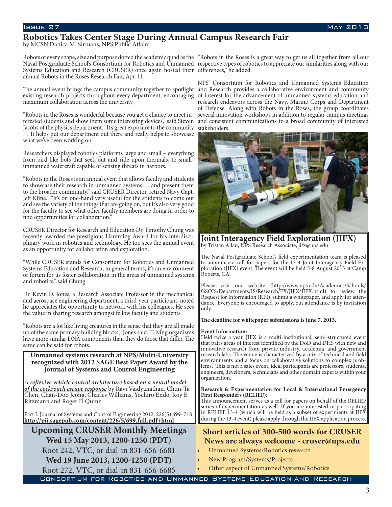# **Robotics Takes Center Stage During Annual Campus Research Fair**

by MCSN Danica M. Sirmans, NPS Public Affairs

Robots of every shape, size and purpose dotted the academic quad as the "Robots in the Roses is a great way to get us all together from all our Naval Postgraduate School's Consortium for Robotics and Unmanned respective types of robotics to appreciate our similarities along with our Systems Education and Research (CRUSER) once again hosted their differences," he added. annual Robots in the Roses Research Fair, Apr. 11.

maximum collaboration across the university.

"Robots in the Roses is wonderful because you get a chance to meet interested students and show them some interesting devices," said Steven Jacobs of the physics department. "It's great exposure to the community … It helps put our department out there and really helps to showcase what we've been working on."

Researchers displayed robotics platforms large and small – everything from bird-like bots that seek out and ride upon thermals, to smallunmanned watercraft capable of sensing threats in harbors.

"Robots in the Roses is an annual event that allows faculty and students to showcase their research in unmanned systems … and present them to the broader community," said CRUSER Director, retired Navy Capt. Jeff Kline. "It's on one-hand very useful for the students to come out and see the variety of the things that are going on, but it's also very good for the faculty to see what other faculty members are doing in order to find opportunities for collaboration."

CRUSER Director for Research and Education Dr. Timothy Chung was recently awarded the prestigious Hamming Award for his interdisciplinary work in robotics and technology. He too sees the annual event as an opportunity for collaboration and exploration.

"While CRUSER stands for Consortium for Robotics and Unmanned Systems Education and Research, in general terms, it's an environment or forum for us foster collaboration in the areas of unmanned systems and robotics," said Chung.

Dr. Kevin D. Jones, a Research Associate Professor in the mechanical and aerospace engineering department, a third-year participant, noted he appreciates the opportunity to network with his colleagues. He sees the value in sharing research amongst fellow faculty and students.

"Robots are a lot like living creatures in the sense that they are all made up of the same primary building blocks," Jones said. "Living organisms have more similar DNA components than they do those that differ. The same can be said for robots.

### **Unmanned systems research at NPS/Multi-University recognized with 2012 SAGE Best Paper Award by the Journal of Systems and Control Engineering**

*A reflexive vehicle control architecture based on a neural model of the cockroach escape response* by Ravi Vaidyanathan, Chun-Ta Chen, Chan-Doo Jeong, Charles Williams, Yochiro Endo, Roy E Ritzmann and Roger D Quinn

Part I: Journal of Systems and Control Engineering 2012; 226(5) 699–718 **http://pii.sagepub.com/content/226/5/699.full.pdf+html**

**Upcoming CRUSER Monthly Meetings Wed 15 May 2013, 1200-1250 (PDT)** Root 242, VTC, or dial-in 831-656-6681 **Wed 19 June 2013, 1200-1250 (PDT)** Root 272, VTC, or dial-in 831-656-6685

The annual event brings the campus community together to spotlight and Research provides a collaborative environment and community existing research projects throughout every department, encouraging of interest for the advancement of unmanned systems education and NPS' Consortium for Robotics and Unmanned Systems Education research endeavors across the Navy, Marine Corps and Department of Defense. Along with Robots in the Roses, the group coordinates several innovation workshops in addition to regular campus meetings and consistent communications to a broad community of interested stakeholders.



**Joint Interagency Field Exploration (JIFX)** by Tristan Allan, NPS Research Associate, jifx@nps.edu

The Naval Postgraduate School's field experimentation team is pleased to announce a call for papers for the 13-4 Joint Interagency Field Ex ploration (JIFX) event. The event will be held 5-8 August 2013 at Camp Roberts, CA.

Please visit our website (http://www.nps.edu/Academics/Schools/ GSOIS/Departments/IS/Research/FX/JIFX/JIFX.html) to review the Request for Information (RFI), submit a whitepaper, and apply for atten dance. Everyone is encouraged to apply, but attendance is by invitation only.

#### **The deadline for whitepaper submissions is June 7, 2013.**

#### **Event Information:**

Held twice a year, JIFX is a multi-institutional, semi-structured event that pairs areas of interest identified by the DoD and DHS with new and innovative research from private industry, academia, and government research labs. The venue is characterized by a mix of technical and field environments and a focus on collaborative solutions to complex problems. This is not a sales event, ideal participants are professors, students, engineers, developers, technicians and other domain experts within your organization.

#### **Research & Experimentation for Local & International Emergency First Responders (RELIEF):**

This announcement serves as a call for papers on behalf of the RELIEF series of experimentation as well. If you are interested in participating in RELIEF 13-4 (which will be held as a subset of experiments at JIFX during the 13-4 event) please apply through the JIFX application process.

# **Short articles of 300-500 words for CRUSER News are always welcome - cruser@nps.edu**

Unmanned Systems/Robotics research

- New Program/Systems/Projects
- Other aspect of Unmanned Systems/Robotics

Consortium for Robotics and Unmanned Systems Education and Research